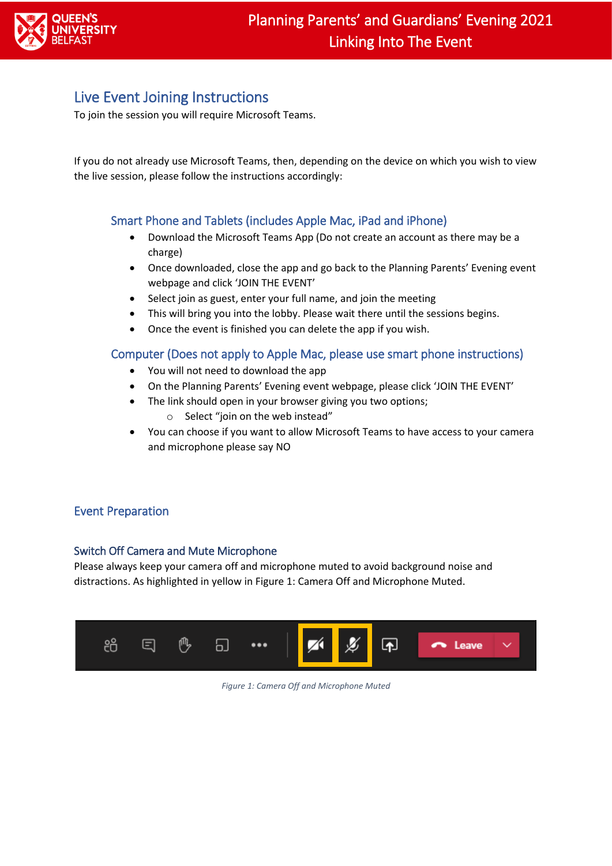

# Live Event Joining Instructions

To join the session you will require Microsoft Teams.

If you do not already use Microsoft Teams, then, depending on the device on which you wish to view the live session, please follow the instructions accordingly:

## Smart Phone and Tablets (includes Apple Mac, iPad and iPhone)

- Download the Microsoft Teams App (Do not create an account as there may be a charge)
- Once downloaded, close the app and go back to the Planning Parents' Evening event webpage and click 'JOIN THE EVENT'
- Select join as guest, enter your full name, and join the meeting
- This will bring you into the lobby. Please wait there until the sessions begins.
- Once the event is finished you can delete the app if you wish.

#### Computer (Does not apply to Apple Mac, please use smart phone instructions)

- You will not need to download the app
- On the Planning Parents' Evening event webpage, please click 'JOIN THE EVENT'
- The link should open in your browser giving you two options;
	- o Select "join on the web instead"
- You can choose if you want to allow Microsoft Teams to have access to your camera and microphone please say NO

## Event Preparation

#### Switch Off Camera and Mute Microphone

Please always keep your camera off and microphone muted to avoid background noise and distractions. As highlighted in yellow i[n Figure 1: Camera Off and Microphone Muted.](#page-0-0)

<span id="page-0-0"></span>

*Figure 1: Camera Off and Microphone Muted*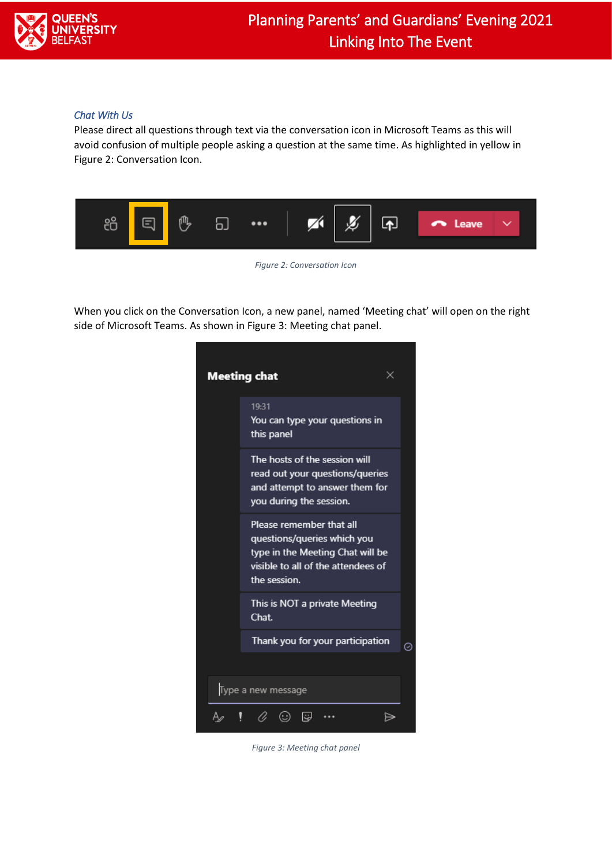

#### *Chat With Us*

Please direct all questions through text via the conversation icon in Microsoft Teams as this will avoid confusion of multiple people asking a question at the same time. As highlighted in yellow in [Figure 2: Conversation Icon.](#page-1-0)



*Figure 2: Conversation Icon*

<span id="page-1-0"></span>When you click on the Conversation Icon, a new panel, named 'Meeting chat' will open on the right side of Microsoft Teams. As shown i[n Figure 3: Meeting chat panel.](#page-1-1)

<span id="page-1-1"></span>

*Figure 3: Meeting chat panel*